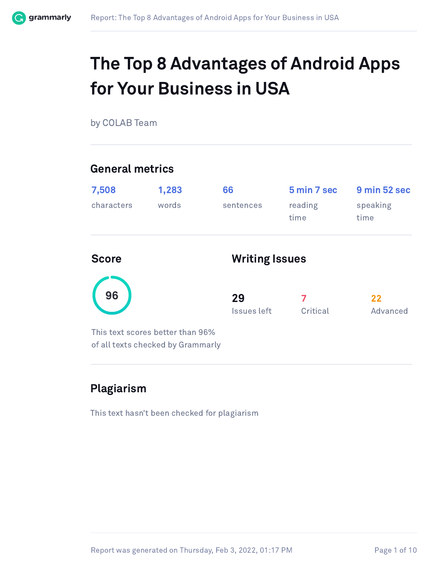

## The Top 8 Advantages of Android Apps for Your Business in USA

by COLAB Team

#### General metrics

| 7,508<br>characters | 1,283<br>words                                                        | 66<br>sentences   | 5 min 7 sec<br>reading<br>time | 9 min 52 sec<br>speaking<br>time |  |
|---------------------|-----------------------------------------------------------------------|-------------------|--------------------------------|----------------------------------|--|
| <b>Score</b>        |                                                                       |                   | <b>Writing Issues</b>          |                                  |  |
| 96                  |                                                                       | 29<br>Issues left | Critical                       | 22<br>Advanced                   |  |
|                     | This text scores better than 96%<br>of all texts checked by Grammarly |                   |                                |                                  |  |

### Plagiarism

This text hasn't been checked for plagiarism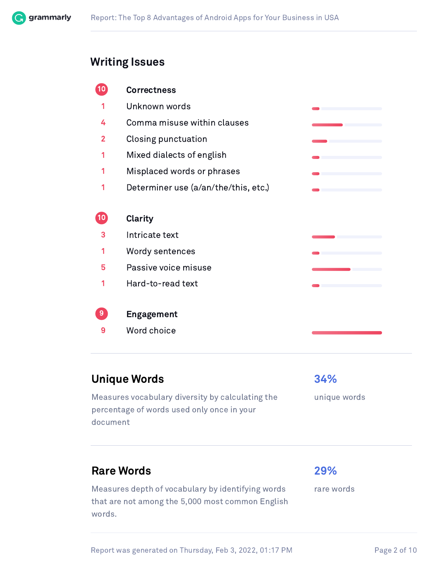

#### Writing Issues

ĺ

ĺ

ĺ

|    | <b>Correctness</b>                   |  |
|----|--------------------------------------|--|
| 1  | Unknown words                        |  |
| 4  | Comma misuse within clauses          |  |
| 2  | Closing punctuation                  |  |
|    | Mixed dialects of english            |  |
|    | Misplaced words or phrases           |  |
|    | Determiner use (a/an/the/this, etc.) |  |
|    |                                      |  |
| 10 | Clarity                              |  |
| 3  | Intricate text                       |  |
|    | Wordy sentences                      |  |
| 5  | Passive voice misuse                 |  |
|    | Hard-to-read text                    |  |
|    |                                      |  |
| 9  | <b>Engagement</b>                    |  |
| 9  | Word choice                          |  |
|    |                                      |  |

#### Unique Words 34%

Measures vocabulary diversity by calculating the percentage of words used only once in your document

unique words

#### Rare Words **29%**

Measures depth of vocabulary by identifying words that are not among the 5,000 most common English words.

rare words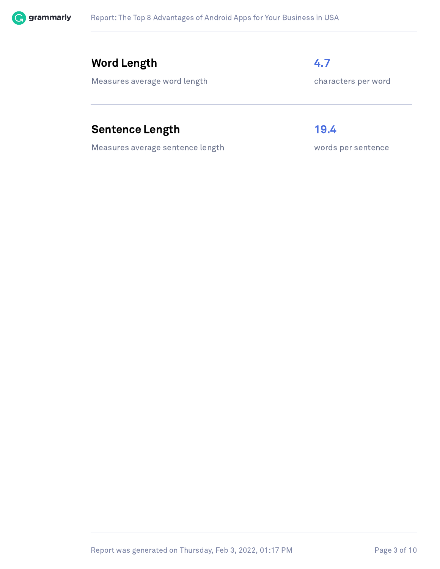

#### Word Length 4.7

Measures average word length characters per word

## Sentence Length 19.4

Measures average sentence length words per sentence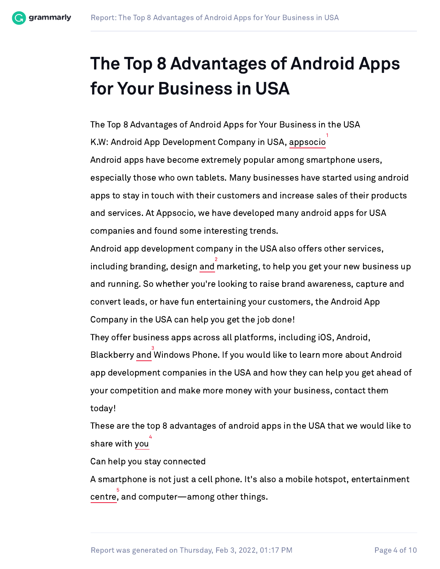

# The Top 8 Advantages of Android Apps for Your Business in USA

The Top 8 Advantages of Android Apps for Your Business in the USA K.W: Android App Development Company in USA, appsocio Android apps have become extremely popular among smartphone users, especially those who own tablets. Many businesses have started using android apps to stay in touch with their customers and increase sales of their products and services. At Appsocio, we have developed many android apps for USA companies and found some interesting trends. 1

Android app development company in the USA also offers other services, including branding, design and marketing, to help you get your new business up and running. So whether you're looking to raise brand awareness, capture and convert leads, or have fun entertaining your customers, the Android App Company in the USA can help you get the job done! 2

They offer business apps across all platforms, including iOS, Android, Blackberry and Windows Phone. If you would like to learn more about Android app development companies in the USA and how they can help you get ahead of your competition and make more money with your business, contact them today! 3

These are the top 8 advantages of android apps in the USA that we would like to share with you 4

Can help you stay connected

A smartphone is not just a cell phone. It's also a mobile hotspot, entertainment centre, and computer—among other things. 5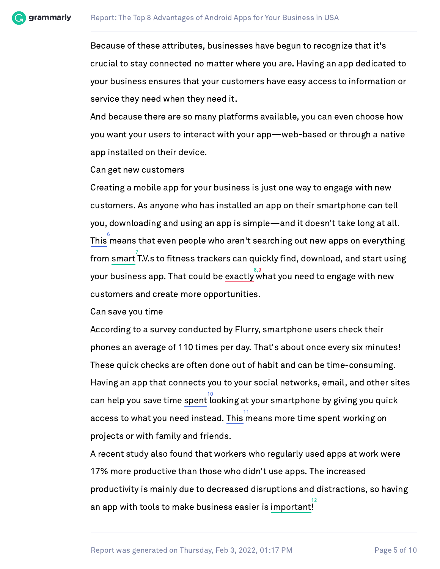

Because of these attributes, businesses have begun to recognize that it's crucial to stay connected no matter where you are. Having an app dedicated to your business ensures that your customers have easy access to information or service they need when they need it.

And because there are so many platforms available, you can even choose how you want your users to interact with your app—web-based or through a native app installed on their device.

Can get new customers

Creating a mobile app for your business is just one way to engage with new customers. As anyone who has installed an app on their smartphone can tell you, downloading and using an app is simple—and it doesn't take long at all. This means that even people who aren't searching out new apps on everything from smart T.V.s to fitness trackers can quickly find, download, and start using your business app. That could be exactly what you need to engage with new customers and create more opportunities. 6 7 8,9

Can save you time

According to a survey conducted by Flurry, smartphone users check their phones an average of 110 times per day. That's about once every six minutes! These quick checks are often done out of habit and can be time-consuming. Having an app that connects you to your social networks, email, and other sites  $\frac{10}{10}$  can help you save time spent looking at your smartphone by giving you quick access to what you need instead. This means more time spent working on projects or with family and friends. 11

A recent study also found that workers who regularly used apps at work were 17% more productive than those who didn't use apps. The increased productivity is mainly due to decreased disruptions and distractions, so having an app with tools to make business easier is important! 12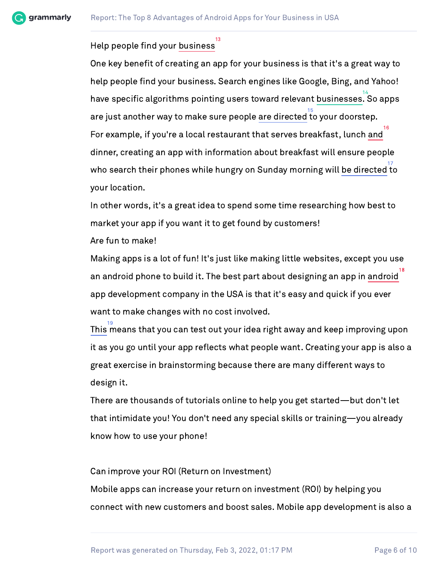grammarly

#### Help people find your business 13

One key benefit of creating an app for your business is that it's a great way to help people find your business. Search engines like Google, Bing, and Yahoo! have specific algorithms pointing users toward relevant businesses. So apps are just another way to make sure people are directed to your doorstep. For example, if you're a local restaurant that serves breakfast, lunch and dinner, creating an app with information about breakfast will ensure people who search their phones while hungry on Sunday morning will be directed to your location. 14 15 16 17

In other words, it's a great idea to spend some time researching how best to market your app if you want it to get found by customers!

Are fun to make!

Making apps is a lot of fun! It's just like making little websites, except you use an android phone to build it. The best part about designing an app in android app development company in the USA is that it's easy and quick if you ever want to make changes with no cost involved. 18

This means that you can test out your idea right away and keep improving upon it as you go until your app reflects what people want. Creating your app is also a great exercise in brainstorming because there are many different ways to design it. 19

There are thousands of tutorials online to help you get started—but don't let that intimidate you! You don't need any special skills or training—you already know how to use your phone!

Can improve your ROI (Return on Investment)

Mobile apps can increase your return on investment (ROI) by helping you connect with new customers and boost sales. Mobile app development is also a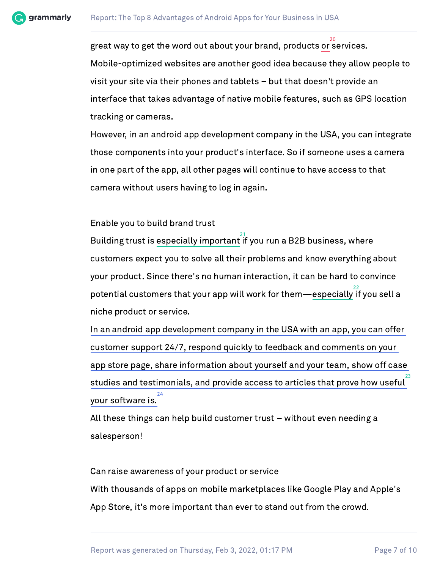

great way to get the word out about your brand, products or services. Mobile-optimized websites are another good idea because they allow people to visit your site via their phones and tablets – but that doesn't provide an interface that takes advantage of native mobile features, such as GPS location tracking or cameras. 20

However, in an android app development company in the USA, you can integrate those components into your product's interface. So if someone uses a camera in one part of the app, all other pages will continue to have access to that camera without users having to log in again.

Enable you to build brand trust

Building trust is especially important if you run a B2B business, where customers expect you to solve all their problems and know everything about your product. Since there's no human interaction, it can be hard to convince  $\frac{22}{100}$  potential customers that your app will work for them—especially if you sell a niche product or service. 21

In an android app development company in the USA with an app, you can offer customer support 24/7, respond quickly to feedback and comments on your app store page, share information about yourself and your team, show off case studies and testimonials, and provide access to articles that prove how useful your software is. 23 24

All these things can help build customer trust – without even needing a salesperson!

Can raise awareness of your product or service With thousands of apps on mobile marketplaces like Google Play and Apple's App Store, it's more important than ever to stand out from the crowd.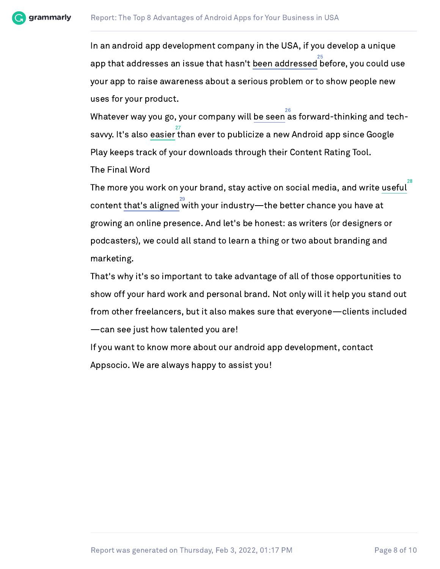

In an android app development company in the USA, if you develop a unique app that addresses an issue that hasn't been addressed before, you could use your app to raise awareness about a serious problem or to show people new uses for your product. 25

Whatever way you go, your company will be seen as forward-thinking and techsavvy. It's also easier than ever to publicize a new Android app since Google Play keeps track of your downloads through their Content Rating Tool. The Final Word 26 27

The more you work on your brand, stay active on social media, and write useful  $\frac{29}{20}$  content that's aligned with your industry—the better chance you have at growing an online presence. And let's be honest: as writers (or designers or podcasters), we could all stand to learn a thing or two about branding and marketing. 28

That's why it's so important to take advantage of all of those opportunities to show off your hard work and personal brand. Not only will it help you stand out from other freelancers, but it also makes sure that everyone—clients included —can see just how talented you are!

If you want to know more about our android app development, contact Appsocio. We are always happy to assist you!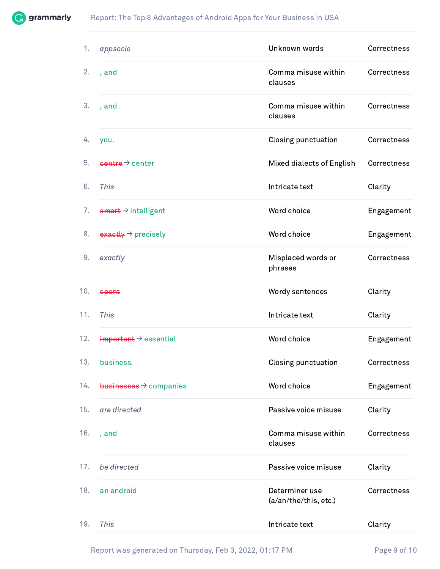

| 1.  | appsocio                                | Unknown words                           | Correctness |
|-----|-----------------------------------------|-----------------------------------------|-------------|
| 2.  | , and                                   | Comma misuse within<br>clauses          | Correctness |
| 3.  | , and                                   | Comma misuse within<br>clauses          | Correctness |
| 4.  | you.                                    | Closing punctuation                     | Correctness |
| 5.  | $centre \rightarrow center$             | Mixed dialects of English               | Correctness |
| 6.  | This                                    | Intricate text                          | Clarity     |
| 7.  | $\frac{4}{3}$ + intelligent             | Word choice                             | Engagement  |
| 8.  | $\frac{exactly}{\rightarrow}$ precisely | Word choice                             | Engagement  |
| 9.  | exactly                                 | Misplaced words or<br>phrases           | Correctness |
| 10. | spent                                   | Wordy sentences                         | Clarity     |
| 11. | This                                    | Intricate text                          | Clarity     |
| 12. | $im$ portant $\rightarrow$ essential    | Word choice                             | Engagement  |
| 13. | business.                               | Closing punctuation                     | Correctness |
| 14. | $businesese \rightarrow companies$      | Word choice                             | Engagement  |
| 15. | are directed                            | Passive voice misuse                    | Clarity     |
| 16. | , and                                   | Comma misuse within<br>clauses          | Correctness |
| 17. | be directed                             | Passive voice misuse                    | Clarity     |
| 18. | an android                              | Determiner use<br>(a/an/the/this, etc.) | Correctness |
| 19. | This                                    | Intricate text                          | Clarity     |